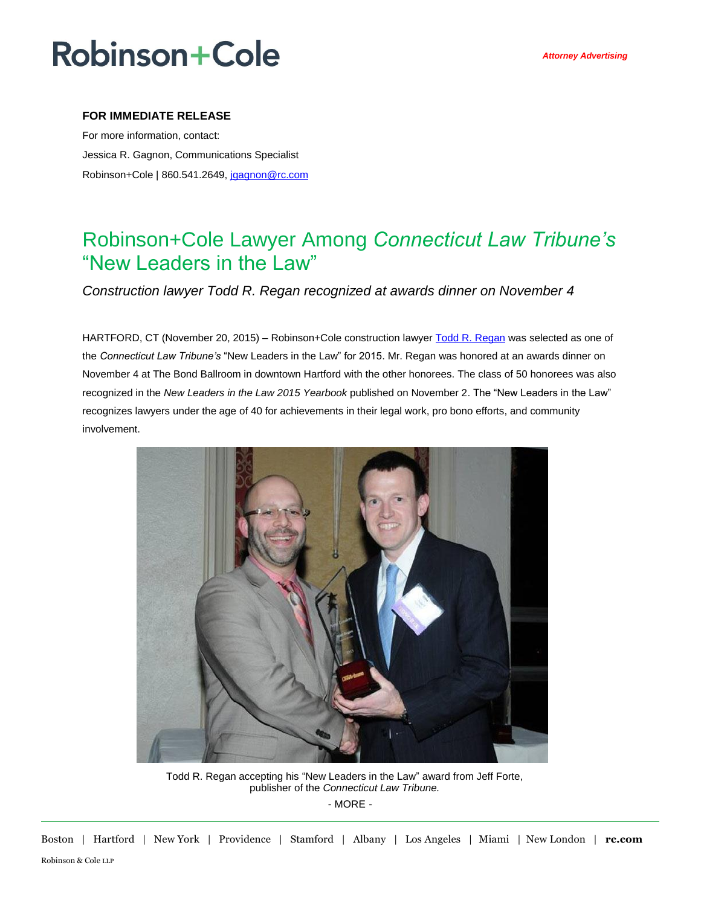## **Robinson+Cole**

### **FOR IMMEDIATE RELEASE**

For more information, contact: Jessica R. Gagnon, Communications Specialist Robinson+Cole | 860.541.2649, [jgagnon@rc.com](mailto:jgagnon@rc.com)

### Robinson+Cole Lawyer Among *Connecticut Law Tribune's* "New Leaders in the Law"

*Construction lawyer Todd R. Regan recognized at awards dinner on November 4*

HARTFORD, CT (November 20, 2015) – Robinson+Cole construction lawyer [Todd R. Regan](http://www.rc.com/people/ToddRRegan.cfm) was selected as one of the *Connecticut Law Tribune's* "New Leaders in the Law" for 2015. Mr. Regan was honored at an awards dinner on November 4 at The Bond Ballroom in downtown Hartford with the other honorees. The class of 50 honorees was also recognized in the *New Leaders in the Law 2015 Yearbook* published on November 2. The "New Leaders in the Law" recognizes lawyers under the age of 40 for achievements in their legal work, pro bono efforts, and community involvement.



- MORE - Todd R. Regan accepting his "New Leaders in the Law" award from Jeff Forte, publisher of the *Connecticut Law Tribune.*

Boston | Hartford | New York | Providence | Stamford | Albany | Los Angeles | Miami | New London | **rc.com** Robinson & Cole LLP